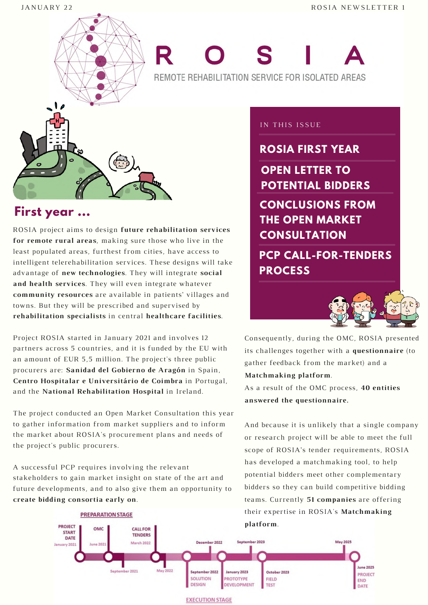

# REMOTE REHABILITATION SERVICE FOR ISOLATED AREAS



#### **First year ...**

ROSIA project aims to design **future rehabilitation services for remote rural areas**, making sure those who live in the least populated areas, furthest from cities, have access to intelligent telerehabilitation services. These designs will take advantage of **new technologies**. They will integrate **social and health services**. They will even integrate whatever **community resources** are available in patients' villages and towns. But they will be prescribed and supervised by **rehabilitation specialists** in central **healthcare facilities**.

Project ROSIA started in January 2021 and involves 12 partners across 5 countries, and it is funded by the EU with an amount of EUR 5,5 million. The project's three public procurers are: **Sanidad del Gobierno de Aragón** in Spain, **Centro Hospitalar e Universitário de Coimbra** in Portugal, and the **National Rehabilitation Hospital** in Ireland.

The project conducted an Open Market Consultation this year to gather information from market suppliers and to inform the market about ROSIA's procurement plans and needs of the project's public procurers.

A successful PCP requires involving the relevant stakeholders to gain market insight on state of the art and future developments, and to also give them an opportunity to **create bidding consortia early on**.

#### IN THIS ISSUE

**ROSIA FIRST YEAR**

**OPEN LETTER TO POTENTIAL BIDDERS CONCLUSIONS FROM THE OPEN MARKET CONSULTATION**

**PCP CALL-FOR-TENDERS PROCESS**



Consequently, during the OMC, ROSIA presented its challenges together with a **questionnaire** (to gather feedback from the market) and a **Matchmaking platform**.

As a result of the OMC process, **40 entities answered the questionnaire.**

And because it is unlikely that a single company or research project will be able to meet the full scope of ROSIA's tender requirements, ROSIA has developed a matchmaking tool, to help potential bidders meet other complementary bidders so they can build competitive bidding teams. Currently **51 companies** are offering their expertise in ROSIA's **Matchmaking**



**EXECUTION STAGE**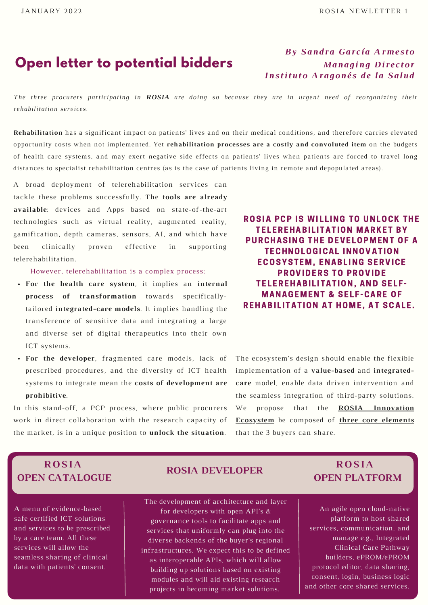#### **Open letter to potential bidders**

#### *By Sandra García Armesto Managing Di rector Instituto Aragonés de la Salud*

The three procurers participating in ROSIA are doing so because they are in urgent need of reorganizing their *rehabilitation services.*

**Rehabilitation** has a significant impact on patients' lives and on their medical conditions, and therefore carries elevated opportunity costs when not implemented. Yet **rehabilitation processes are a costly and convoluted item** on the budgets of health care systems, and may exert negative side effects on patients' lives when patients are forced to travel long distances to specialist rehabilitation centres (as is the case of patients living in remote and depopulated areas).

A broad deployment of telerehabilitation services can tackle these problems successfully. The **tools are already available**: devices and Apps based on state-of-the-art technologies such as virtual reality, augmented reality, gamification, depth cameras, sensors, AI, and which have been clinically proven effective in supporting telerehabilitation.

#### However, telerehabilitation is a complex process:

- **For the health care system**, it implies an **internal process of transformation** towards specificallytailored **integrated-care models**. It implies handling the transference of sensitive data and integrating a large and diverse set of digital therapeutics into their own ICT systems.
- **For the developer**, fragmented care models, lack of prescribed procedures, and the diversity of ICT health systems to integrate mean the **costs of development are prohibitive**.

In this stand-off, a PCP process, where public procurers work in direct collaboration with the research capacity of the market, is in a unique position to **unlock the situation**.

#### ROSIA PCP IS WILLING TO UNLOCK THE **TELEREHABILITATION MARKET BY** PURCHASING THE DEVELOPMENT OF A **TECHNOLOGICAL INNOVATION ECOSYSTEM, ENABLING SERVICE** PROVIDERS TO PROVIDE **TELEREHABILITATION, AND SELF-MANAGEMENT & SELF-CARE OF REHABILITATION AT HOME, AT SCALE.**

The ecosystem's design should enable the flexible implementation of a **value-based** and **integratedcare** model, enable data driven intervention and the seamless integration of third-party solutions. We propose that the **ROSIA Innovation Ecosystem** be composed of **three core elements** that the 3 buyers can share.

#### **ROSIA OPEN CATALOGUE**

**A** menu of evidence-based safe certified ICT solutions and services to be prescribed by a care team. All these services will allow the seamless sharing of clinical data with patients' consent.

#### **ROSIA DEVELOPER**

The development of architecture and layer for developers with open API's & governance tools to facilitate apps and services that uniformly can plug into the diverse backends of the buyer's regional infrastructures. We expect this to be defined as interoperable APIs, which will allow building up solutions based on existing modules and will aid existing research projects in becoming market solutions.

#### **ROSIA OPEN PLATFORM**

An agile open cloud-native platform to host shared services, communication, and manage e.g., Integrated Clinical Care Pathway builders, ePROM/ePROM protocol editor, data sharing, consent, login, business logic and other core shared services.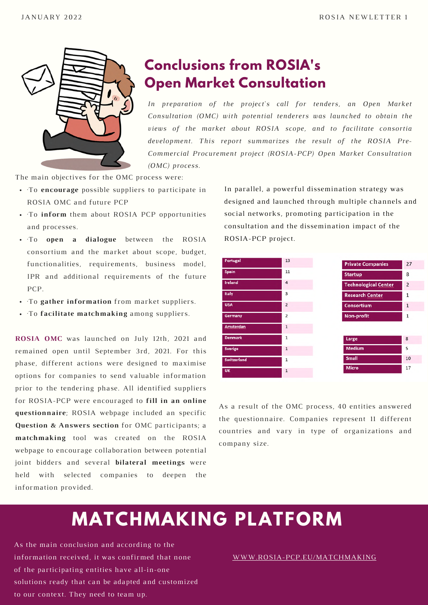

# **Conclusions from ROSIA's Open Market Consultation**

*In preparation of the project's call for tenders, an Open Market Consultation (OMC) with potential tenderers was launched to obtain the views of the market about ROSIA scope, and to facilitate consortia development. This report summarizes the result of the ROSIA Pre-Commercial Procurement project (ROSIA-PCP) Open Market Consultation (OMC) process.*

The main objectives for the OMC process were:

- ·To **encourage** possible suppliers to participate in ROSIA OMC and future PCP
- To inform them about ROSIA PCP opportunities and processes.
- ·To **open a dialogue** between the ROSIA consortium and the market about scope, budget, functionalities, requirements, business model, IPR and additional requirements of the future PCP.
- ·To **gather information** from market suppliers.
- ·To **facilitate matchmaking** among suppliers.

**ROSIA OMC** was launched on July 12th, 2021 and remained open until September 3rd, 2021. For this phase, different actions were designed to maximise options for companies to send valuable information prior to the tendering phase. All identified suppliers for ROSIA-PCP were encouraged to **fill in an online questionnaire**; ROSIA webpage included an specific **Question & Answers section** for OMC participants; a **matchmaking** tool was created on the ROSIA webpage to encourage collaboration between potential joint bidders and several **bilateral meetings** were held with selected companies to deepen the information provided.

In parallel, a powerful dissemination strategy was designed and launched through multiple channels and social networks, promoting participation in the consultation and the dissemination impact of the ROSIA-PCP project.

| <b>Portugal</b>    | 13             | <b>Private Companies</b>    |
|--------------------|----------------|-----------------------------|
| Spain              | 11             | <b>Startup</b>              |
| <b>Ireland</b>     | $\overline{4}$ | <b>Technological Center</b> |
| Italy              | 3              | <b>Research Center</b>      |
| <b>USA</b>         | $\overline{2}$ | <b>Consortium</b>           |
| Germany            | $\overline{2}$ | <b>Non-profit</b>           |
| Amsterdan          | $\mathbf{1}$   |                             |
| <b>Denmark</b>     | 1              | Large                       |
| <b>Sverige</b>     | $\mathbf 1$    | <b>Medium</b>               |
| <b>Switzerland</b> | 1              | <b>Small</b>                |
| <b>UK</b>          | $\mathbf{1}$   | <b>Micro</b>                |

As a result of the OMC process, 40 entities answered the questionnaire. Companies represent 11 different countries and vary in type of organizations and company size.

# **MATCHMAKING PLATFORM**

As the main conclusion and according to the information received, it was confirmed that none of the participating entities have all-in-one solutions ready that can be adapted and customized to our context. They need to team up.

[WWW.ROSIA-PCP.EU/MATCHMAKING](http://www.rosia-pcp.eu/MATCHMAKING)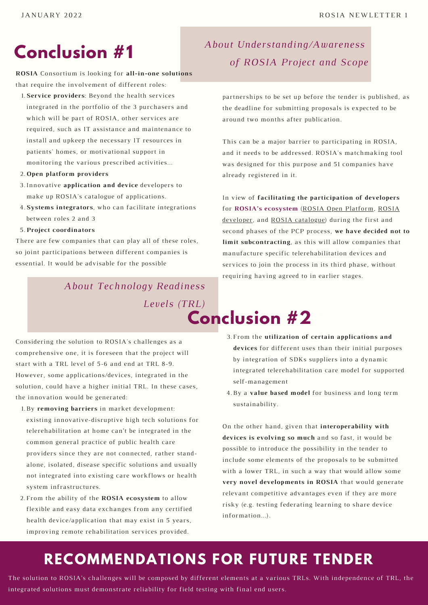# **Conclusion #1**

**ROSIA** Consortium is looking for **all-in-one solutions** that require the involvement of different roles:

**Service providers**: Beyond the health services 1.

integrated in the portfolio of the 3 purchasers and which will be part of ROSIA, other services are required, such as IT assistance and maintenance to install and upkeep the necessary IT resources in patients' homes, or motivational support in monitoring the various prescribed activities...

- **Open platform providers** 2.
- Innovative **application and device** developers to 3. make up ROSIA's catalogue of applications.
- **Systems integrators**, who can facilitate integrations 4. between roles 2 and 3
- **Project coordinators** 5.

There are few companies that can play all of these roles, so joint participations between different companies is essential. It would be advisable for the possible

#### *About Technology Readiness*

*Levels (TRL)*

Considering the solution to ROSIA's challenges as a comprehensive one, it is foreseen that the project will start with a TRL level of 5-6 and end at TRL 8-9. However, some applications/devices, integrated in the solution, could have a higher initial TRL. In these cases, the innovation would be generated:

- 1. By removing barriers in market development: existing innovative-disruptive high tech solutions for telerehabilitation at home can't be integrated in the common general practice of public health care providers since they are not connected, rather standalone, isolated, disease specific solutions and usually not integrated into existing care workflows or health system infrastructures.
- From the ability of the **ROSIA ecosystem** to allow 2. flexible and easy data exchanges from any certified health device/application that may exist in 5 years, improving remote rehabilitation services provided.

### *About Understanding/Awareness of ROSIA Project and Scope*

partnerships to be set up before the tender is published, as the deadline for submitting proposals is expected to be around two months after publication.

This can be a major barrier to participating in ROSIA, and it needs to be addressed. ROSIA's matchmaking tool was designed for this purpose and 51 companies have already registered in it.

In view of **facilitating the participation of developers** for **ROSIA's ecosystem** (ROSIA Open Platform, ROSIA developer, and ROSIA catalogue) during the first and second phases of the PCP process, **we have decided not to limit subcontracting**, as this will allow companies that manufacture specific telerehabilitation devices and services to join the process in its third phase, without requiring having agreed to in earlier stages.

#### **Conclusion #2** 1. 2.

- From the **utilization of certain applications and** 3. **devices** for different uses than their initial purposes by integration of SDKs suppliers into a dynamic integrated telerehabilitation care model for supported self-management
- 4. By a **value based model** for business and long term sustainability.

On the other hand, given that **interoperability with devices is evolving so much** and so fast, it would be possible to introduce the possibility in the tender to include some elements of the proposals to be submitted with a lower TRL, in such a way that would allow some **very novel developments in ROSIA** that would generate relevant competitive advantages even if they are more risky (e.g. testing federating learning to share device information...).

# **RECOMMENDATIONS FOR FUTURE TENDER**

The solution to ROSIA's challenges will be composed by different elements at a various TRLs. With independence of TRL, the integrated solutions must demonstrate reliability for field testing with final end users.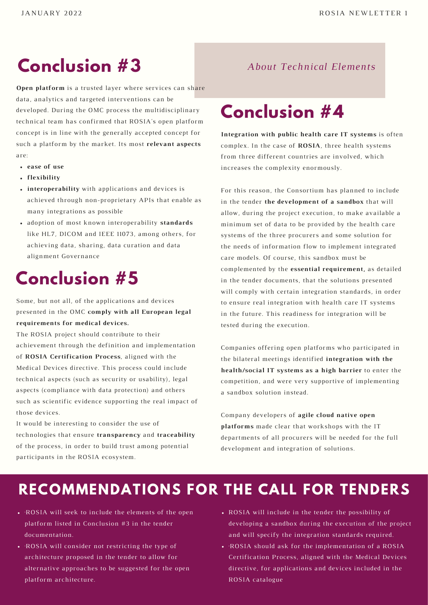# **Conclusion #3** *About Technical Elements*

**Open platform** is a trusted layer where services can share data, analytics and targeted interventions can be developed. During the OMC process the multidisciplinary technical team has confirmed that ROSIA's open platform concept is in line with the generally accepted concept for such a platform by the market. Its most **relevant aspects** are:

- **ease of use**
- **flexibility**
- many integrations as possible **interoperability** with applications and devices is achieved through non-proprietary APIs that enable as
- adoption of most known interoperability **standards** like HL7, DICOM and IEEE 11073, among others, for achieving data, sharing, data curation and data alignment Governance

# **Conclusion #5**

Some, but not all, of the applications and devices presented in the OMC **comply with all European legal requirements for medical devices.**

The ROSIA project should contribute to their achievement through the definition and implementation of **ROSIA Certification Process**, aligned with the Medical Devices directive. This process could include technical aspects (such as security or usability), legal aspects (compliance with data protection) and others such as scientific evidence supporting the real impact of those devices.

It would be interesting to consider the use of technologies that ensure **transparency** and **traceability** of the process, in order to build trust among potential participants in the ROSIA ecosystem.

# **Conclusion #4**

**Integration with public health care IT systems** is often complex. In the case of **ROSIA**, three health systems from three different countries are involved, which increases the complexity enormously.

For this reason, the Consortium has planned to include in the tender **the development of a sandbox** that will allow, during the project execution, to make available a minimum set of data to be provided by the health care systems of the three procurers and some solution for the needs of information flow to implement integrated care models. Of course, this sandbox must be complemented by the **essential requirement,** as detailed in the tender documents, that the solutions presented will comply with certain integration standards, in order to ensure real integration with health care IT systems in the future. This readiness for integration will be tested during the execution.

Companies offering open platforms who participated in the bilateral meetings identified **integration with the health/social IT systems as a high barrier** to enter the competition, and were very supportive of implementing a sandbox solution instead.

Company developers of **agile cloud native open platforms** made clear that workshops with the IT departments of all procurers will be needed for the full development and integration of solutions.

# **RECOMMENDATIONS FOR THE CALL FOR TENDERS**

- ·ROSIA will seek to include the elements of the open platform listed in Conclusion #3 in the tender documentation.
- ·ROSIA will consider not restricting the type of architecture proposed in the tender to allow for alternative approaches to be suggested for the open platform architecture.
- ROSIA will include in the tender the possibility of developing a sandbox during the execution of the project and will specify the integration standards required.
- ·ROSIA should ask for the implementation of a ROSIA Certification Process, aligned with the Medical Devices directive, for applications and devices included in the ROSIA catalogue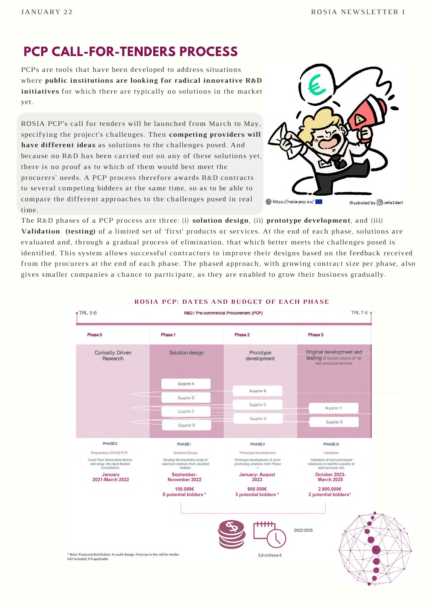#### **PCP CALL-FOR-TENDERS PROCESS**

PCPs are tools that have been developed to address situations where **public institutions are looking for radical innovative R&D initiatives** for which there are typically no solutions in the market yet.

ROSIA PCP's call for tenders will be launched from March to May, specifying the project's challenges. Then **competing providers will have different ideas** as solutions to the challenges posed. And because no R&D has been carried out on any of these solutions yet, there is no proof as to which of them would best meet the procurers' needs. A PCP process therefore awards R&D contracts to several competing bidders at the same time, so as to be able to compare the different approaches to the challenges posed in real time.



The R&D phases of a PCP process are three: (i) **solution design**, (ii) **prototype development**, and (iii) **Validation (testing)** of a limited set of 'first' products or services. At the end of each phase, solutions are evaluated and, through a gradual process of elimination, that which better meets the challenges posed is identified. This system allows successful contractors to improve their designs based on the feedback received from the procurers at the end of each phase. The phased approach, with growing contract size per phase, also gives smaller companies a chance to participate, as they are enabled to grow their business gradually.



**ROSIA PCP: DATES AND BUDGET OF EACH PHASE**